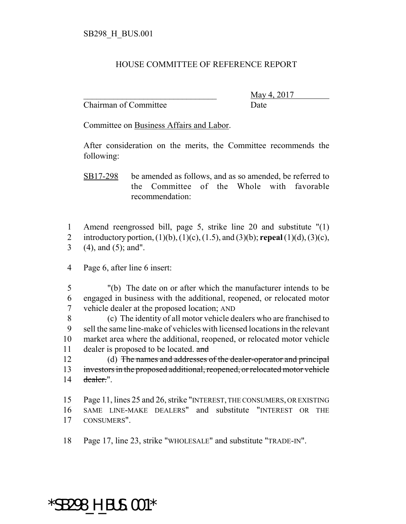## HOUSE COMMITTEE OF REFERENCE REPORT

Chairman of Committee Date

\_\_\_\_\_\_\_\_\_\_\_\_\_\_\_\_\_\_\_\_\_\_\_\_\_\_\_\_\_\_\_ May 4, 2017

Committee on Business Affairs and Labor.

After consideration on the merits, the Committee recommends the following:

SB17-298 be amended as follows, and as so amended, be referred to the Committee of the Whole with favorable recommendation:

1 Amend reengrossed bill, page 5, strike line 20 and substitute "(1) 2 introductory portion, (1)(b), (1)(c), (1.5), and (3)(b); **repeal** (1)(d), (3)(c), 3 (4), and (5); and".

4 Page 6, after line 6 insert:

5 "(b) The date on or after which the manufacturer intends to be 6 engaged in business with the additional, reopened, or relocated motor 7 vehicle dealer at the proposed location; AND

 (c) The identity of all motor vehicle dealers who are franchised to sell the same line-make of vehicles with licensed locations in the relevant market area where the additional, reopened, or relocated motor vehicle 11 dealer is proposed to be located. and

12 (d) The names and addresses of the dealer-operator and principal 13 investors in the proposed additional, reopened, or relocated motor vehicle 14 dealer.".

15 Page 11, lines 25 and 26, strike "INTEREST, THE CONSUMERS, OR EXISTING 16 SAME LINE-MAKE DEALERS" and substitute "INTEREST OR THE 17 CONSUMERS".

18 Page 17, line 23, strike "WHOLESALE" and substitute "TRADE-IN".

## \*SB298\_H\_BUS.001\*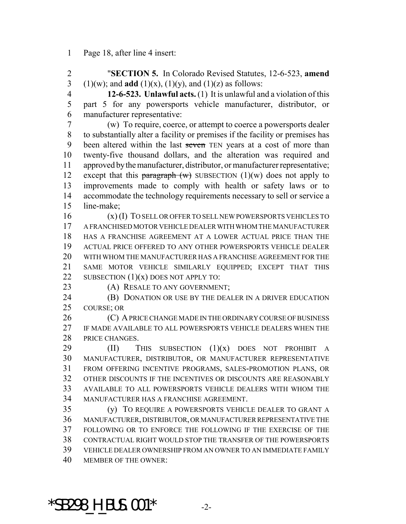Page 18, after line 4 insert:

 "**SECTION 5.** In Colorado Revised Statutes, 12-6-523, **amend** 3 (1)(w); and **add** (1)(x), (1)(y), and (1)(z) as follows:

 **12-6-523. Unlawful acts.** (1) It is unlawful and a violation of this part 5 for any powersports vehicle manufacturer, distributor, or manufacturer representative:

 (w) To require, coerce, or attempt to coerce a powersports dealer to substantially alter a facility or premises if the facility or premises has 9 been altered within the last seven TEN years at a cost of more than twenty-five thousand dollars, and the alteration was required and approved by the manufacturer, distributor, or manufacturer representative; 12 except that this paragraph  $(w)$  SUBSECTION  $(1)(w)$  does not apply to improvements made to comply with health or safety laws or to accommodate the technology requirements necessary to sell or service a line-make;

 (x) (I) TO SELL OR OFFER TO SELL NEW POWERSPORTS VEHICLES TO A FRANCHISED MOTOR VEHICLE DEALER WITH WHOM THE MANUFACTURER HAS A FRANCHISE AGREEMENT AT A LOWER ACTUAL PRICE THAN THE ACTUAL PRICE OFFERED TO ANY OTHER POWERSPORTS VEHICLE DEALER WITH WHOM THE MANUFACTURER HAS A FRANCHISE AGREEMENT FOR THE SAME MOTOR VEHICLE SIMILARLY EQUIPPED; EXCEPT THAT THIS 22 SUBSECTION  $(1)(x)$  DOES NOT APPLY TO:

23 (A) RESALE TO ANY GOVERNMENT;

**(B) DONATION OR USE BY THE DEALER IN A DRIVER EDUCATION** COURSE; OR

26 (C) A PRICE CHANGE MADE IN THE ORDINARY COURSE OF BUSINESS IF MADE AVAILABLE TO ALL POWERSPORTS VEHICLE DEALERS WHEN THE PRICE CHANGES.

 $(II)$  This subsection  $(1)(x)$  does not prohibit a MANUFACTURER, DISTRIBUTOR, OR MANUFACTURER REPRESENTATIVE FROM OFFERING INCENTIVE PROGRAMS, SALES-PROMOTION PLANS, OR OTHER DISCOUNTS IF THE INCENTIVES OR DISCOUNTS ARE REASONABLY AVAILABLE TO ALL POWERSPORTS VEHICLE DEALERS WITH WHOM THE MANUFACTURER HAS A FRANCHISE AGREEMENT.

 (y) TO REQUIRE A POWERSPORTS VEHICLE DEALER TO GRANT A MANUFACTURER, DISTRIBUTOR, OR MANUFACTURER REPRESENTATIVE THE FOLLOWING OR TO ENFORCE THE FOLLOWING IF THE EXERCISE OF THE CONTRACTUAL RIGHT WOULD STOP THE TRANSFER OF THE POWERSPORTS VEHICLE DEALER OWNERSHIP FROM AN OWNER TO AN IMMEDIATE FAMILY MEMBER OF THE OWNER:

 $*$ SB298 H BUS.001 $*$  -2-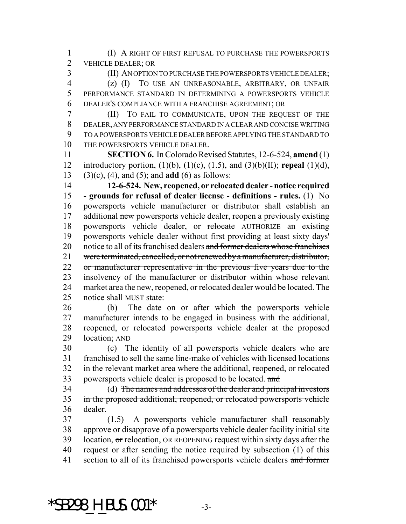(I) A RIGHT OF FIRST REFUSAL TO PURCHASE THE POWERSPORTS VEHICLE DEALER; OR

 (II) AN OPTION TO PURCHASE THE POWERSPORTS VEHICLE DEALER; (z) (I) TO USE AN UNREASONABLE, ARBITRARY, OR UNFAIR PERFORMANCE STANDARD IN DETERMINING A POWERSPORTS VEHICLE DEALER'S COMPLIANCE WITH A FRANCHISE AGREEMENT; OR

 (II) TO FAIL TO COMMUNICATE, UPON THE REQUEST OF THE DEALER, ANY PERFORMANCE STANDARD IN A CLEAR AND CONCISE WRITING TO A POWERSPORTS VEHICLE DEALER BEFORE APPLYING THE STANDARD TO THE POWERSPORTS VEHICLE DEALER.

 **SECTION 6.** In Colorado Revised Statutes, 12-6-524, **amend** (1) introductory portion, (1)(b), (1)(c), (1.5), and (3)(b)(II); **repeal** (1)(d), (3)(c), (4), and (5); and **add** (6) as follows:

 **12-6-524. New, reopened, or relocated dealer - notice required - grounds for refusal of dealer license - definitions - rules.** (1) No powersports vehicle manufacturer or distributor shall establish an 17 additional new powersports vehicle dealer, reopen a previously existing 18 powersports vehicle dealer, or relocate AUTHORIZE an existing powersports vehicle dealer without first providing at least sixty days' 20 notice to all of its franchised dealers and former dealers whose franchises were terminated, cancelled, or not renewed by a manufacturer, distributor, or manufacturer representative in the previous five years due to the 23 insolvency of the manufacturer or distributor within whose relevant market area the new, reopened, or relocated dealer would be located. The 25 notice shall MUST state:

 (b) The date on or after which the powersports vehicle manufacturer intends to be engaged in business with the additional, reopened, or relocated powersports vehicle dealer at the proposed location; AND

 (c) The identity of all powersports vehicle dealers who are franchised to sell the same line-make of vehicles with licensed locations in the relevant market area where the additional, reopened, or relocated 33 powersports vehicle dealer is proposed to be located. and

 (d) The names and addresses of the dealer and principal investors in the proposed additional, reopened, or relocated powersports vehicle dealer.

 (1.5) A powersports vehicle manufacturer shall reasonably approve or disapprove of a powersports vehicle dealer facility initial site 39 location, or relocation, OR REOPENING request within sixty days after the request or after sending the notice required by subsection (1) of this 41 section to all of its franchised powersports vehicle dealers and former

 $*$ SB298 H BUS.001 $*$  -3-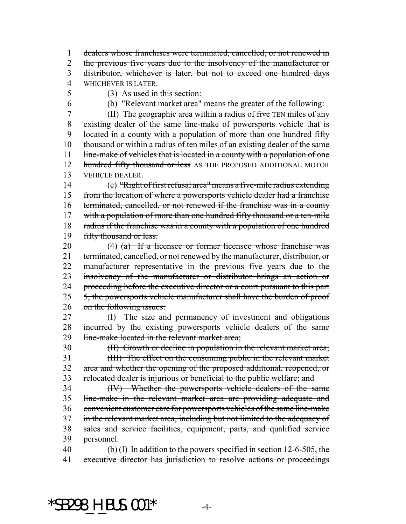dealers whose franchises were terminated, cancelled, or not renewed in 2 the previous five years due to the insolvency of the manufacturer or distributor, whichever is later, but not to exceed one hundred days WHICHEVER IS LATER.

- -

(3) As used in this section:

(b) "Relevant market area" means the greater of the following:

7 (II) The geographic area within a radius of five TEN miles of any 8 existing dealer of the same line-make of powersports vehicle that is located in a county with a population of more than one hundred fifty thousand or within a radius of ten miles of an existing dealer of the same 11 line-make of vehicles that is located in a county with a population of one 12 hundred fifty thousand or less AS THE PROPOSED ADDITIONAL MOTOR VEHICLE DEALER.

 (c) "Right of first refusal area" means a five-mile radius extending 15 from the location of where a powersports vehicle dealer had a franchise terminated, cancelled, or not renewed if the franchise was in a county 17 with a population of more than one hundred fifty thousand or a ten-mile 18 radius if the franchise was in a county with a population of one hundred 19 fifty thousand or less.

 (4) (a) If a licensee or former licensee whose franchise was 21 terminated, cancelled, or not renewed by the manufacturer, distributor, or manufacturer representative in the previous five years due to the insolvency of the manufacturer or distributor brings an action or 24 proceeding before the executive director or a court pursuant to this part 25 5, the powersports vehicle manufacturer shall have the burden of proof on the following issues:

 (I) The size and permanency of investment and obligations incurred by the existing powersports vehicle dealers of the same 29 line-make located in the relevant market area;

(II) Growth or decline in population in the relevant market area;

 (III) The effect on the consuming public in the relevant market area and whether the opening of the proposed additional, reopened, or relocated dealer is injurious or beneficial to the public welfare; and

 (IV) Whether the powersports vehicle dealers of the same line-make in the relevant market area are providing adequate and convenient customer care for powersports vehicles of the same line-make in the relevant market area, including but not limited to the adequacy of sales and service facilities, equipment, parts, and qualified service personnel.

40 (b) (I) In addition to the powers specified in section -6-505, the 41 executive director has jurisdiction to resolve actions or proceedings

 $*$ SB298 H BUS.001 $*$  -4-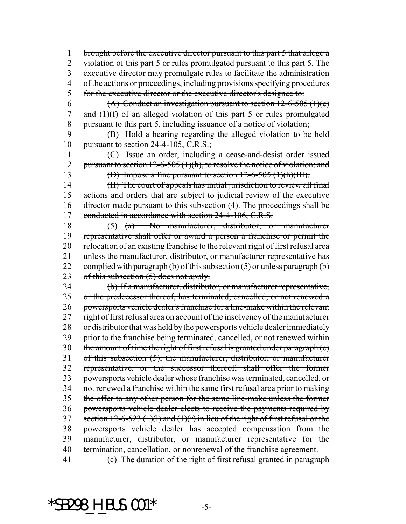brought before the executive director pursuant to this part 5 that allege a 2 violation of this part 5 or rules promulgated pursuant to this part 5. The executive director may promulgate rules to facilitate the administration 4 of the actions or proceedings, including provisions specifying procedures 5 for the executive director or the executive director's designee to:

6 (A) Conduct an investigation pursuant to section  $12-6-505$  (1)(e) 7 and (1)(f) of an alleged violation of this part 5 or rules promulgated pursuant to this part 5, including issuance of a notice of violation;

 (B) Hold a hearing regarding the alleged violation to be held 10 pursuant to section  $24-4-105$ , C.R.S.;

 (C) Issue an order, including a cease-and-desist order issued 12 pursuant to section 12-6-505 (1)(h), to resolve the notice of violation; and

(D) Impose a fine pursuant to section 12-6-505 (1)(h)(III).

 (II) The court of appeals has initial jurisdiction to review all final actions and orders that are subject to judicial review of the executive director made pursuant to this subsection (4). The proceedings shall be 17 conducted in accordance with section 24-4-106, C.R.S.

 (5) (a) No manufacturer, distributor, or manufacturer representative shall offer or award a person a franchise or permit the relocation of an existing franchise to the relevant right of first refusal area 21 unless the manufacturer, distributor, or manufacturer representative has 22 complied with paragraph (b) of this subsection  $(5)$  or unless paragraph (b) 23 of this subsection  $(5)$  does not apply.

 (b) If a manufacturer, distributor, or manufacturer representative, 25 or the predecessor thereof, has terminated, cancelled, or not renewed a powersports vehicle dealer's franchise for a line-make within the relevant right of first refusal area on account of the insolvency of the manufacturer or distributor that was held by the powersports vehicle dealer immediately 29 prior to the franchise being terminated, cancelled, or not renewed within the amount of time the right of first refusal is granted under paragraph (c) of this subsection (5), the manufacturer, distributor, or manufacturer representative, or the successor thereof, shall offer the former powersports vehicle dealer whose franchise was terminated, cancelled, or not renewed a franchise within the same first refusal area prior to making the offer to any other person for the same line-make unless the former powersports vehicle dealer elects to receive the payments required by 37 section  $12-6-523$  (1)(1) and (1)(r) in lieu of the right of first refusal or the powersports vehicle dealer has accepted compensation from the manufacturer, distributor, or manufacturer representative for the 40 termination, cancellation, or nonrenewal of the franchise agreement. (c) The duration of the right of first refusal granted in paragraph

 $*$ SB298 H BUS.001 $*$  -5-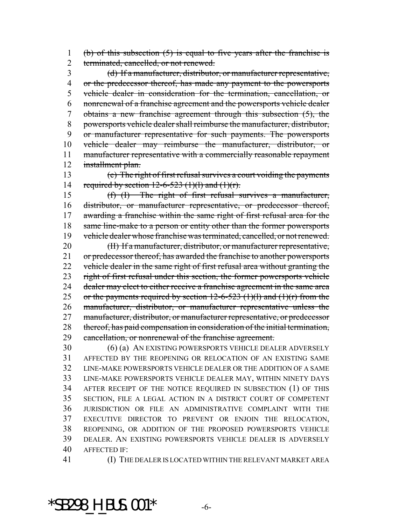1 (b) of this subsection  $(5)$  is equal to five years after the franchise is 2 terminated, cancelled, or not renewed.

 (d) If a manufacturer, distributor, or manufacturer representative, 4 or the predecessor thereof, has made any payment to the powersports vehicle dealer in consideration for the termination, cancellation, or nonrenewal of a franchise agreement and the powersports vehicle dealer obtains a new franchise agreement through this subsection (5), the powersports vehicle dealer shall reimburse the manufacturer, distributor, or manufacturer representative for such payments. The powersports vehicle dealer may reimburse the manufacturer, distributor, or manufacturer representative with a commercially reasonable repayment installment plan.

 (e) The right of first refusal survives a court voiding the payments 14 required by section  $12-6-523$  (1)(1) and (1)(r).

 (f) (I) The right of first refusal survives a manufacturer, distributor, or manufacturer representative, or predecessor thereof, awarding a franchise within the same right of first refusal area for the 18 same line-make to a person or entity other than the former powersports 19 vehicle dealer whose franchise was terminated, cancelled, or not renewed.

 (II) If a manufacturer, distributor, or manufacturer representative, 21 or predecessor thereof, has awarded the franchise to another powersports 22 vehicle dealer in the same right of first refusal area without granting the 23 right of first refusal under this section, the former powersports vehicle 24 dealer may elect to either receive a franchise agreement in the same area 25 or the payments required by section  $12-6-523$  (1)(1) and (1)(r) from the manufacturer, distributor, or manufacturer representative unless the manufacturer, distributor, or manufacturer representative, or predecessor thereof, has paid compensation in consideration of the initial termination, cancellation, or nonrenewal of the franchise agreement.

 (6) (a) AN EXISTING POWERSPORTS VEHICLE DEALER ADVERSELY AFFECTED BY THE REOPENING OR RELOCATION OF AN EXISTING SAME LINE-MAKE POWERSPORTS VEHICLE DEALER OR THE ADDITION OF A SAME LINE-MAKE POWERSPORTS VEHICLE DEALER MAY, WITHIN NINETY DAYS AFTER RECEIPT OF THE NOTICE REQUIRED IN SUBSECTION (1) OF THIS SECTION, FILE A LEGAL ACTION IN A DISTRICT COURT OF COMPETENT JURISDICTION OR FILE AN ADMINISTRATIVE COMPLAINT WITH THE EXECUTIVE DIRECTOR TO PREVENT OR ENJOIN THE RELOCATION, REOPENING, OR ADDITION OF THE PROPOSED POWERSPORTS VEHICLE DEALER. AN EXISTING POWERSPORTS VEHICLE DEALER IS ADVERSELY AFFECTED IF:

(I) THE DEALER IS LOCATED WITHIN THE RELEVANT MARKET AREA

 $*$ SB298 H BUS.001 $*$  -6-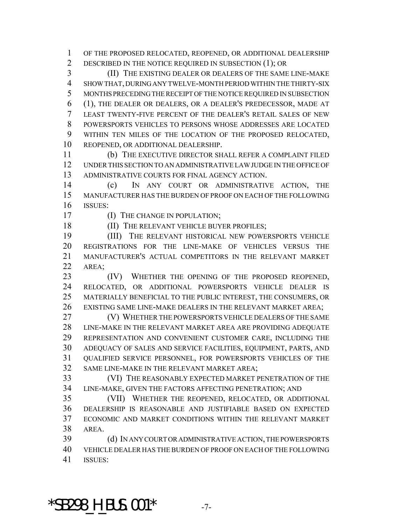OF THE PROPOSED RELOCATED, REOPENED, OR ADDITIONAL DEALERSHIP 2 DESCRIBED IN THE NOTICE REQUIRED IN SUBSECTION (1); OR

 (II) THE EXISTING DEALER OR DEALERS OF THE SAME LINE-MAKE SHOW THAT, DURING ANY TWELVE-MONTH PERIOD WITHIN THE THIRTY-SIX MONTHS PRECEDING THE RECEIPT OF THE NOTICE REQUIRED IN SUBSECTION (1), THE DEALER OR DEALERS, OR A DEALER'S PREDECESSOR, MADE AT LEAST TWENTY-FIVE PERCENT OF THE DEALER'S RETAIL SALES OF NEW POWERSPORTS VEHICLES TO PERSONS WHOSE ADDRESSES ARE LOCATED WITHIN TEN MILES OF THE LOCATION OF THE PROPOSED RELOCATED, REOPENED, OR ADDITIONAL DEALERSHIP.

 (b) THE EXECUTIVE DIRECTOR SHALL REFER A COMPLAINT FILED UNDER THIS SECTION TO AN ADMINISTRATIVE LAW JUDGE IN THE OFFICE OF ADMINISTRATIVE COURTS FOR FINAL AGENCY ACTION.

 (c) IN ANY COURT OR ADMINISTRATIVE ACTION, THE MANUFACTURER HAS THE BURDEN OF PROOF ON EACH OF THE FOLLOWING ISSUES:

**(I) THE CHANGE IN POPULATION;** 18 (II) THE RELEVANT VEHICLE BUYER PROFILES;

 (III) THE RELEVANT HISTORICAL NEW POWERSPORTS VEHICLE REGISTRATIONS FOR THE LINE-MAKE OF VEHICLES VERSUS THE MANUFACTURER'S ACTUAL COMPETITORS IN THE RELEVANT MARKET AREA;

 (IV) WHETHER THE OPENING OF THE PROPOSED REOPENED, RELOCATED, OR ADDITIONAL POWERSPORTS VEHICLE DEALER IS MATERIALLY BENEFICIAL TO THE PUBLIC INTEREST, THE CONSUMERS, OR EXISTING SAME LINE-MAKE DEALERS IN THE RELEVANT MARKET AREA;

 (V) WHETHER THE POWERSPORTS VEHICLE DEALERS OF THE SAME 28 LINE-MAKE IN THE RELEVANT MARKET AREA ARE PROVIDING ADEQUATE REPRESENTATION AND CONVENIENT CUSTOMER CARE, INCLUDING THE ADEQUACY OF SALES AND SERVICE FACILITIES, EQUIPMENT, PARTS, AND QUALIFIED SERVICE PERSONNEL, FOR POWERSPORTS VEHICLES OF THE SAME LINE-MAKE IN THE RELEVANT MARKET AREA;

 (VI) THE REASONABLY EXPECTED MARKET PENETRATION OF THE LINE-MAKE, GIVEN THE FACTORS AFFECTING PENETRATION; AND

 (VII) WHETHER THE REOPENED, RELOCATED, OR ADDITIONAL DEALERSHIP IS REASONABLE AND JUSTIFIABLE BASED ON EXPECTED ECONOMIC AND MARKET CONDITIONS WITHIN THE RELEVANT MARKET AREA.

 (d) IN ANY COURT OR ADMINISTRATIVE ACTION, THE POWERSPORTS VEHICLE DEALER HAS THE BURDEN OF PROOF ON EACH OF THE FOLLOWING ISSUES:

 $*$ SB298 H BUS.001 $*$  -7-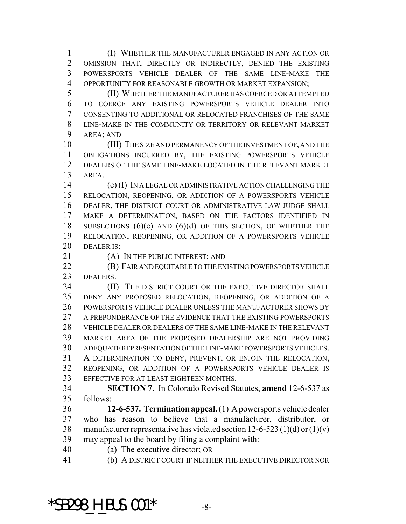(I) WHETHER THE MANUFACTURER ENGAGED IN ANY ACTION OR OMISSION THAT, DIRECTLY OR INDIRECTLY, DENIED THE EXISTING POWERSPORTS VEHICLE DEALER OF THE SAME LINE-MAKE THE OPPORTUNITY FOR REASONABLE GROWTH OR MARKET EXPANSION;

 (II) WHETHER THE MANUFACTURER HAS COERCED OR ATTEMPTED TO COERCE ANY EXISTING POWERSPORTS VEHICLE DEALER INTO CONSENTING TO ADDITIONAL OR RELOCATED FRANCHISES OF THE SAME LINE-MAKE IN THE COMMUNITY OR TERRITORY OR RELEVANT MARKET AREA; AND

 (III) THE SIZE AND PERMANENCY OF THE INVESTMENT OF, AND THE OBLIGATIONS INCURRED BY, THE EXISTING POWERSPORTS VEHICLE DEALERS OF THE SAME LINE-MAKE LOCATED IN THE RELEVANT MARKET AREA.

 (e) (I) IN A LEGAL OR ADMINISTRATIVE ACTION CHALLENGING THE RELOCATION, REOPENING, OR ADDITION OF A POWERSPORTS VEHICLE DEALER, THE DISTRICT COURT OR ADMINISTRATIVE LAW JUDGE SHALL MAKE A DETERMINATION, BASED ON THE FACTORS IDENTIFIED IN 18 SUBSECTIONS  $(6)(c)$  AND  $(6)(d)$  OF THIS SECTION, OF WHETHER THE RELOCATION, REOPENING, OR ADDITION OF A POWERSPORTS VEHICLE DEALER IS:

21 (A) IN THE PUBLIC INTEREST; AND

**(B) FAIR AND EQUITABLE TO THE EXISTING POWERSPORTS VEHICLE** DEALERS.

**(II)** THE DISTRICT COURT OR THE EXECUTIVE DIRECTOR SHALL DENY ANY PROPOSED RELOCATION, REOPENING, OR ADDITION OF A POWERSPORTS VEHICLE DEALER UNLESS THE MANUFACTURER SHOWS BY 27 A PREPONDERANCE OF THE EVIDENCE THAT THE EXISTING POWERSPORTS VEHICLE DEALER OR DEALERS OF THE SAME LINE-MAKE IN THE RELEVANT MARKET AREA OF THE PROPOSED DEALERSHIP ARE NOT PROVIDING ADEQUATE REPRESENTATION OF THE LINE-MAKE POWERSPORTS VEHICLES. A DETERMINATION TO DENY, PREVENT, OR ENJOIN THE RELOCATION, REOPENING, OR ADDITION OF A POWERSPORTS VEHICLE DEALER IS EFFECTIVE FOR AT LEAST EIGHTEEN MONTHS.

 **SECTION 7.** In Colorado Revised Statutes, **amend** 12-6-537 as follows:

 **12-6-537. Termination appeal.** (1) A powersports vehicle dealer who has reason to believe that a manufacturer, distributor, or 38 manufacturer representative has violated section  $12-6-523(1)(d)$  or  $(1)(v)$ may appeal to the board by filing a complaint with:

(a) The executive director; OR

(b) A DISTRICT COURT IF NEITHER THE EXECUTIVE DIRECTOR NOR

 $*$ SB298 H BUS.001 $*$  -8-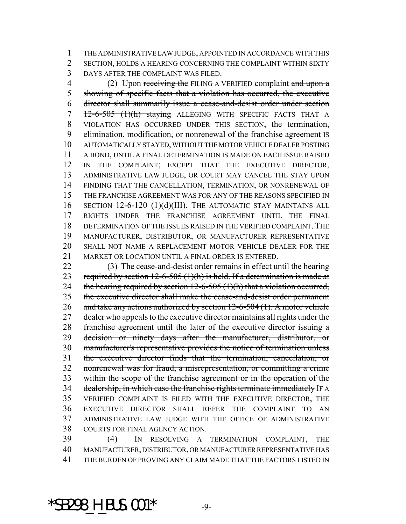THE ADMINISTRATIVE LAW JUDGE, APPOINTED IN ACCORDANCE WITH THIS SECTION, HOLDS A HEARING CONCERNING THE COMPLAINT WITHIN SIXTY DAYS AFTER THE COMPLAINT WAS FILED.

4 (2) Upon receiving the FILING A VERIFIED complaint and upon a showing of specific facts that a violation has occurred, the executive director shall summarily issue a cease-and-desist order under section 7 12-6-505 (1)(h) staying ALLEGING WITH SPECIFIC FACTS THAT A VIOLATION HAS OCCURRED UNDER THIS SECTION, the termination, elimination, modification, or nonrenewal of the franchise agreement IS AUTOMATICALLY STAYED, WITHOUT THE MOTOR VEHICLE DEALER POSTING A BOND, UNTIL A FINAL DETERMINATION IS MADE ON EACH ISSUE RAISED IN THE COMPLAINT; EXCEPT THAT THE EXECUTIVE DIRECTOR, ADMINISTRATIVE LAW JUDGE, OR COURT MAY CANCEL THE STAY UPON FINDING THAT THE CANCELLATION, TERMINATION, OR NONRENEWAL OF THE FRANCHISE AGREEMENT WAS FOR ANY OF THE REASONS SPECIFIED IN SECTION 12-6-120 (1)(d)(III). THE AUTOMATIC STAY MAINTAINS ALL RIGHTS UNDER THE FRANCHISE AGREEMENT UNTIL THE FINAL DETERMINATION OF THE ISSUES RAISED IN THE VERIFIED COMPLAINT. THE MANUFACTURER, DISTRIBUTOR, OR MANUFACTURER REPRESENTATIVE SHALL NOT NAME A REPLACEMENT MOTOR VEHICLE DEALER FOR THE 21 MARKET OR LOCATION UNTIL A FINAL ORDER IS ENTERED.

 (3) The cease-and-desist order remains in effect until the hearing 23 required by section  $12-6-505(1)(h)$  is held. If a determination is made at 24 the hearing required by section  $12-6-505$  (1)(h) that a violation occurred, the executive director shall make the cease-and-desist order permanent 26 and take any actions authorized by section 12-6-504 (1). A motor vehicle 27 dealer who appeals to the executive director maintains all rights under the franchise agreement until the later of the executive director issuing a decision or ninety days after the manufacturer, distributor, or manufacturer's representative provides the notice of termination unless the executive director finds that the termination, cancellation, or nonrenewal was for fraud, a misrepresentation, or committing a crime within the scope of the franchise agreement or in the operation of the 34 dealership, in which case the franchise rights terminate immediately IF A VERIFIED COMPLAINT IS FILED WITH THE EXECUTIVE DIRECTOR, THE EXECUTIVE DIRECTOR SHALL REFER THE COMPLAINT TO AN ADMINISTRATIVE LAW JUDGE WITH THE OFFICE OF ADMINISTRATIVE COURTS FOR FINAL AGENCY ACTION.

 (4) IN RESOLVING A TERMINATION COMPLAINT, THE MANUFACTURER, DISTRIBUTOR, OR MANUFACTURER REPRESENTATIVE HAS THE BURDEN OF PROVING ANY CLAIM MADE THAT THE FACTORS LISTED IN

 $*$ SB298 H BUS.001 $*$  -9-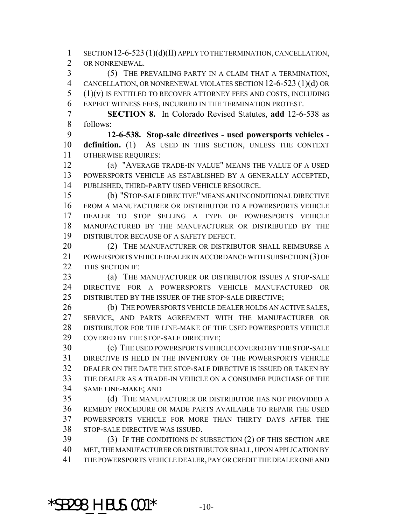SECTION 12-6-523 (1)(d)(II) APPLY TO THE TERMINATION, CANCELLATION, OR NONRENEWAL.

 (5) THE PREVAILING PARTY IN A CLAIM THAT A TERMINATION, CANCELLATION, OR NONRENEWAL VIOLATES SECTION 12-6-523 (1)(d) OR (1)(v) IS ENTITLED TO RECOVER ATTORNEY FEES AND COSTS, INCLUDING EXPERT WITNESS FEES, INCURRED IN THE TERMINATION PROTEST.

 **SECTION 8.** In Colorado Revised Statutes, **add** 12-6-538 as follows:

 **12-6-538. Stop-sale directives - used powersports vehicles - definition.** (1) AS USED IN THIS SECTION, UNLESS THE CONTEXT OTHERWISE REQUIRES:

 (a) "AVERAGE TRADE-IN VALUE" MEANS THE VALUE OF A USED POWERSPORTS VEHICLE AS ESTABLISHED BY A GENERALLY ACCEPTED, PUBLISHED, THIRD-PARTY USED VEHICLE RESOURCE.

 (b) "STOP-SALE DIRECTIVE" MEANS AN UNCONDITIONAL DIRECTIVE FROM A MANUFACTURER OR DISTRIBUTOR TO A POWERSPORTS VEHICLE DEALER TO STOP SELLING A TYPE OF POWERSPORTS VEHICLE MANUFACTURED BY THE MANUFACTURER OR DISTRIBUTED BY THE DISTRIBUTOR BECAUSE OF A SAFETY DEFECT.

20 (2) THE MANUFACTURER OR DISTRIBUTOR SHALL REIMBURSE A POWERSPORTS VEHICLE DEALER IN ACCORDANCE WITH SUBSECTION (3) OF 22 THIS SECTION IF:

**(a) THE MANUFACTURER OR DISTRIBUTOR ISSUES A STOP-SALE**  DIRECTIVE FOR A POWERSPORTS VEHICLE MANUFACTURED OR DISTRIBUTED BY THE ISSUER OF THE STOP-SALE DIRECTIVE;

 (b) THE POWERSPORTS VEHICLE DEALER HOLDS AN ACTIVE SALES, SERVICE, AND PARTS AGREEMENT WITH THE MANUFACTURER OR DISTRIBUTOR FOR THE LINE-MAKE OF THE USED POWERSPORTS VEHICLE COVERED BY THE STOP-SALE DIRECTIVE;

 (c) THE USED POWERSPORTS VEHICLE COVERED BY THE STOP-SALE DIRECTIVE IS HELD IN THE INVENTORY OF THE POWERSPORTS VEHICLE DEALER ON THE DATE THE STOP-SALE DIRECTIVE IS ISSUED OR TAKEN BY THE DEALER AS A TRADE-IN VEHICLE ON A CONSUMER PURCHASE OF THE SAME LINE-MAKE; AND

 (d) THE MANUFACTURER OR DISTRIBUTOR HAS NOT PROVIDED A REMEDY PROCEDURE OR MADE PARTS AVAILABLE TO REPAIR THE USED POWERSPORTS VEHICLE FOR MORE THAN THIRTY DAYS AFTER THE STOP-SALE DIRECTIVE WAS ISSUED.

 (3) IF THE CONDITIONS IN SUBSECTION (2) OF THIS SECTION ARE MET, THE MANUFACTURER OR DISTRIBUTOR SHALL, UPON APPLICATION BY THE POWERSPORTS VEHICLE DEALER, PAY OR CREDIT THE DEALER ONE AND

 $*$ SB298 H BUS.001 $*$  -10-